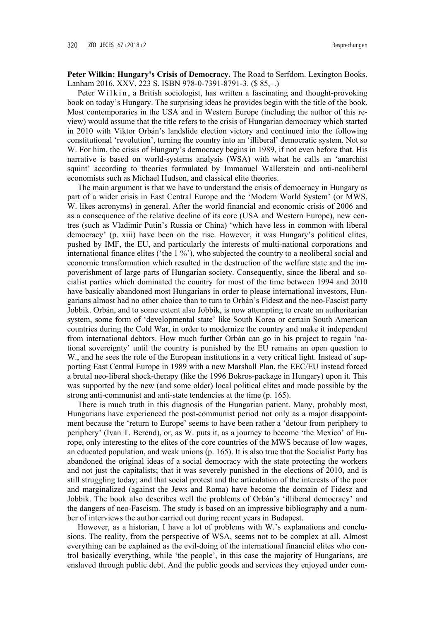Peter Wilkin: Hungary's Crisis of Democracy. The Road to Serfdom. Lexington Books. Lanham 2016, XXV, 223 S, ISBN 978-0-7391-8791-3, (\$ 85.-.)

Peter Wilkin, a British sociologist, has written a fascinating and thought-provoking book on today's Hungary. The surprising ideas he provides begin with the title of the book. Most contemporaries in the USA and in Western Europe (including the author of this review) would assume that the title refers to the crisis of Hungarian democracy which started in 2010 with Viktor Orbán's landslide election victory and continued into the following constitutional 'revolution', turning the country into an 'illiberal' democratic system. Not so W. For him, the crisis of Hungary's democracy begins in 1989, if not even before that. His narrative is based on world-systems analysis (WSA) with what he calls an 'anarchist squint' according to theories formulated by Immanuel Wallerstein and anti-neoliberal economists such as Michael Hudson, and classical elite theories.

The main argument is that we have to understand the crisis of democracy in Hungary as part of a wider crisis in East Central Europe and the 'Modern World System' (or MWS, W. likes acronyms) in general. After the world financial and economic crisis of 2006 and as a consequence of the relative decline of its core (USA and Western Europe), new centres (such as Vladimir Putin's Russia or China) 'which have less in common with liberal democracy' (p. xiii) have been on the rise. However, it was Hungary's political elites, pushed by IMF, the EU, and particularly the interests of multi-national corporations and international finance elites ('the 1 %'), who subjected the country to a neoliberal social and economic transformation which resulted in the destruction of the welfare state and the impoverishment of large parts of Hungarian society. Consequently, since the liberal and socialist parties which dominated the country for most of the time between 1994 and 2010 have basically abandoned most Hungarians in order to please international investors, Hungarians almost had no other choice than to turn to Orbán's Fidesz and the neo-Fascist party Jobbik. Orbán, and to some extent also Jobbik, is now attempting to create an authoritarian system, some form of 'developmental state' like South Korea or certain South American countries during the Cold War, in order to modernize the country and make it independent from international debtors. How much further Orbán can go in his project to regain 'national sovereignty' until the country is punished by the EU remains an open question to W., and he sees the role of the European institutions in a very critical light. Instead of supporting East Central Europe in 1989 with a new Marshall Plan, the EEC/EU instead forced a brutal neo-liberal shock-therapy (like the 1996 Bokros-package in Hungary) upon it. This was supported by the new (and some older) local political elites and made possible by the strong anti-communist and anti-state tendencies at the time (p. 165).

There is much truth in this diagnosis of the Hungarian patient. Many, probably most, Hungarians have experienced the post-communist period not only as a major disappointment because the 'return to Europe' seems to have been rather a 'detour from periphery to periphery' (Ivan T. Berend), or, as W. puts it, as a journey to become 'the Mexico' of Europe, only interesting to the elites of the core countries of the MWS because of low wages, an educated population, and weak unions  $(p. 165)$ . It is also true that the Socialist Party has abandoned the original ideas of a social democracy with the state protecting the workers and not just the capitalists; that it was severely punished in the elections of 2010, and is still struggling today; and that social protest and the articulation of the interests of the poor and marginalized (against the Jews and Roma) have become the domain of Fidesz and Jobbik. The book also describes well the problems of Orbán's 'illiberal democracy' and the dangers of neo-Fascism. The study is based on an impressive bibliography and a number of interviews the author carried out during recent years in Budapest.

However, as a historian, I have a lot of problems with W.'s explanations and conclusions. The reality, from the perspective of WSA, seems not to be complex at all. Almost everything can be explained as the evil-doing of the international financial elites who control basically everything, while 'the people', in this case the majority of Hungarians, are enslaved through public debt. And the public goods and services they enjoyed under com-